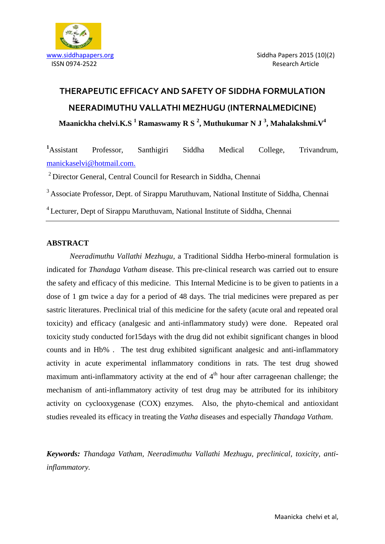



# **THERAPEUTIC EFFICACY AND SAFETY OF SIDDHA FORMULATION NEERADIMUTHU VALLATHI MEZHUGU (INTERNALMEDICINE) Maanickha chelvi.K.S <sup>1</sup> Ramaswamy R S <sup>2</sup> , Muthukumar N J <sup>3</sup> , Mahalakshmi.V<sup>4</sup>**

**<sup>1</sup>**Assistant Professor, Santhigiri Siddha Medical College, Trivandrum, [manickaselvi@hotmail.com.](mailto:manickaselvi@hotmail.com)

<sup>2</sup> Director General, Central Council for Research in Siddha, Chennai

<sup>3</sup> Associate Professor, Dept. of Sirappu Maruthuvam, National Institute of Siddha, Chennai

<sup>4</sup> Lecturer, Dept of Sirappu Maruthuvam, National Institute of Siddha, Chennai

## **ABSTRACT**

*Neeradimuthu Vallathi Mezhugu,* a Traditional Siddha Herbo-mineral formulation is indicated for *Thandaga Vatham* disease. This pre-clinical research was carried out to ensure the safety and efficacy of this medicine. This Internal Medicine is to be given to patients in a dose of 1 gm twice a day for a period of 48 days. The trial medicines were prepared as per sastric literatures. Preclinical trial of this medicine for the safety (acute oral and repeated oral toxicity) and efficacy (analgesic and anti-inflammatory study) were done. Repeated oral toxicity study conducted for15days with the drug did not exhibit significant changes in blood counts and in Hb% . The test drug exhibited significant analgesic and anti-inflammatory activity in acute experimental inflammatory conditions in rats. The test drug showed maximum anti-inflammatory activity at the end of  $4<sup>th</sup>$  hour after carrageenan challenge; the mechanism of anti-inflammatory activity of test drug may be attributed for its inhibitory activity on cyclooxygenase (COX) enzymes. Also, the phyto-chemical and antioxidant studies revealed its efficacy in treating the *Vatha* diseases and especially *Thandaga Vatham*.

*Keywords: Thandaga Vatham, Neeradimuthu Vallathi Mezhugu, preclinical, toxicity, antiinflammatory.*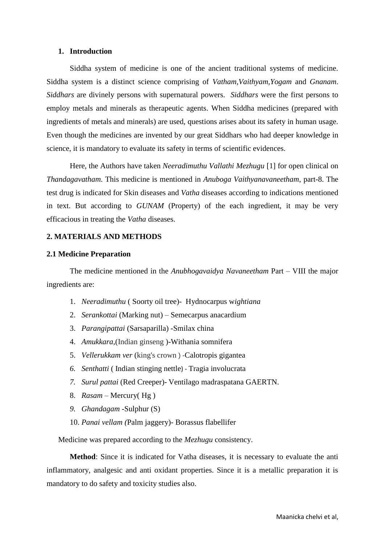#### **1. Introduction**

Siddha system of medicine is one of the ancient traditional systems of medicine. Siddha system is a distinct science comprising of *Vatham,Vaithyam,Yogam* and *Gnanam*. *Siddhars* are divinely persons with supernatural powers. *Siddhars* were the first persons to employ metals and minerals as therapeutic agents. When Siddha medicines (prepared with ingredients of metals and minerals) are used, questions arises about its safety in human usage. Even though the medicines are invented by our great Siddhars who had deeper knowledge in science, it is mandatory to evaluate its safety in terms of scientific evidences.

Here, the Authors have taken *Neeradimuthu Vallathi Mezhugu* [1] for open clinical on *Thandagavatham*. This medicine is mentioned in *Anuboga Vaithyanavaneetham*, part-8. The test drug is indicated for Skin diseases and *Vatha* diseases according to indications mentioned in text. But according to *GUNAM* (Property) of the each ingredient, it may be very efficacious in treating the *Vatha* diseases.

#### **2. MATERIALS AND METHODS**

#### **2.1 Medicine Preparation**

The medicine mentioned in the *Anubhogavaidya Navaneetham* Part – VIII the major ingredients are:

- 1. *Neeradimuthu* ( Soorty oil tree)- Hydnocarpus w*ightiana*
- 2. *Serankottai* (Marking nut) Semecarpus anacardium
- 3. *Parangipattai* (Sarsaparilla) -Smilax china
- 4. *Amukkara,*(Indian ginseng )-Withania somnifera
- 5. *Vellerukkam ver* (king's crown ) -Calotropis gigantea
- *6. Senthatti* ( Indian stinging nettle) Tragia involucrata
- *7. Surul pattai* (Red Creeper)- Ventilago madraspatana GAERTN.
- 8. *Rasam –* Mercury( Hg )
- *9. Ghandagam -*Sulphur (S)
- 10. *Panai vellam (*Palm jaggery)- Borassus flabellifer

Medicine was prepared according to the *Mezhugu* consistency.

**Method**: Since it is indicated for Vatha diseases, it is necessary to evaluate the anti inflammatory, analgesic and anti oxidant properties. Since it is a metallic preparation it is mandatory to do safety and toxicity studies also.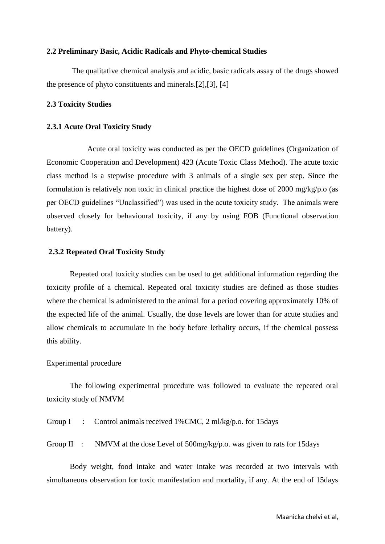#### **2.2 Preliminary Basic, Acidic Radicals and Phyto-chemical Studies**

The qualitative chemical analysis and acidic, basic radicals assay of the drugs showed the presence of phyto constituents and minerals.[2],[3], [4]

#### **2.3 Toxicity Studies**

#### **2.3.1 Acute Oral Toxicity Study**

Acute oral toxicity was conducted as per the OECD guidelines (Organization of Economic Cooperation and Development) 423 (Acute Toxic Class Method). The acute toxic class method is a stepwise procedure with 3 animals of a single sex per step. Since the formulation is relatively non toxic in clinical practice the highest dose of 2000 mg/kg/p.o (as per OECD guidelines "Unclassified") was used in the acute toxicity study. The animals were observed closely for behavioural toxicity, if any by using FOB (Functional observation battery).

#### **2.3.2 Repeated Oral Toxicity Study**

Repeated oral toxicity studies can be used to get additional information regarding the toxicity profile of a chemical. Repeated oral toxicity studies are defined as those studies where the chemical is administered to the animal for a period covering approximately 10% of the expected life of the animal. Usually, the dose levels are lower than for acute studies and allow chemicals to accumulate in the body before lethality occurs, if the chemical possess this ability.

#### Experimental procedure

The following experimental procedure was followed to evaluate the repeated oral toxicity study of NMVM

Group I : Control animals received 1%CMC, 2 ml/kg/p.o. for 15days

Group II : NMVM at the dose Level of 500mg/kg/p.o. was given to rats for 15days

Body weight, food intake and water intake was recorded at two intervals with simultaneous observation for toxic manifestation and mortality, if any. At the end of 15days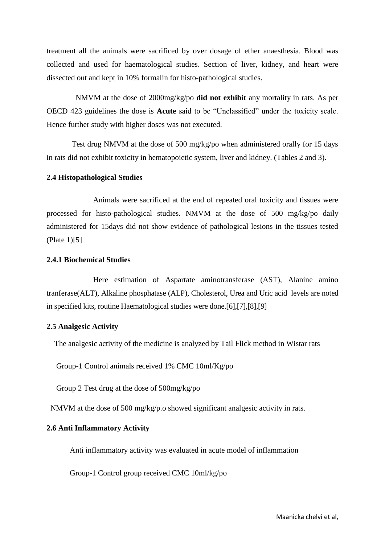treatment all the animals were sacrificed by over dosage of ether anaesthesia. Blood was collected and used for haematological studies. Section of liver, kidney, and heart were dissected out and kept in 10% formalin for histo-pathological studies.

 NMVM at the dose of 2000mg/kg/po **did not exhibit** any mortality in rats. As per OECD 423 guidelines the dose is **Acute** said to be "Unclassified" under the toxicity scale. Hence further study with higher doses was not executed.

Test drug NMVM at the dose of 500 mg/kg/po when administered orally for 15 days in rats did not exhibit toxicity in hematopoietic system, liver and kidney. (Tables 2 and 3).

#### **2.4 Histopathological Studies**

Animals were sacrificed at the end of repeated oral toxicity and tissues were processed for histo-pathological studies. NMVM at the dose of 500 mg/kg/po daily administered for 15days did not show evidence of pathological lesions in the tissues tested (Plate 1)[5]

#### **2.4.1 Biochemical Studies**

Here estimation of Aspartate aminotransferase (AST), Alanine amino tranferase(ALT), Alkaline phosphatase (ALP), Cholesterol, Urea and Uric acid levels are noted in specified kits, routine Haematological studies were done.[6],[7],[8],[9]

#### **2.5 Analgesic Activity**

The analgesic activity of the medicine is analyzed by Tail Flick method in Wistar rats

Group-1 Control animals received 1% CMC 10ml/Kg/po

Group 2 Test drug at the dose of 500mg/kg/po

NMVM at the dose of 500 mg/kg/p.o showed significant analgesic activity in rats.

#### **2.6 Anti Inflammatory Activity**

Anti inflammatory activity was evaluated in acute model of inflammation

Group-1 Control group received CMC 10ml/kg/po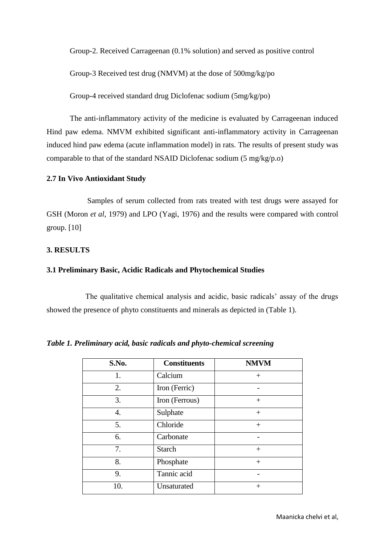Group-2. Received Carrageenan (0.1% solution) and served as positive control

Group-3 Received test drug (NMVM) at the dose of 500mg/kg/po

Group-4 received standard drug Diclofenac sodium (5mg/kg/po)

The anti-inflammatory activity of the medicine is evaluated by Carrageenan induced Hind paw edema. NMVM exhibited significant anti-inflammatory activity in Carrageenan induced hind paw edema (acute inflammation model) in rats. The results of present study was comparable to that of the standard NSAID Diclofenac sodium (5 mg/kg/p.o)

#### **2.7 In Vivo Antioxidant Study**

Samples of serum collected from rats treated with test drugs were assayed for GSH (Moron *et al*, 1979) and LPO (Yagi, 1976) and the results were compared with control group. [10]

#### **3. RESULTS**

#### **3.1 Preliminary Basic, Acidic Radicals and Phytochemical Studies**

 The qualitative chemical analysis and acidic, basic radicals" assay of the drugs showed the presence of phyto constituents and minerals as depicted in (Table 1).

| S.No. | <b>Constituents</b> | <b>NMVM</b> |
|-------|---------------------|-------------|
| 1.    | Calcium             | $^{+}$      |
| 2.    | Iron (Ferric)       |             |
| 3.    | Iron (Ferrous)      | $^{+}$      |
| 4.    | Sulphate            | $^{+}$      |
| 5.    | Chloride            | $+$         |
| 6.    | Carbonate           |             |
| 7.    | <b>Starch</b>       | $^{+}$      |
| 8.    | Phosphate           | $+$         |
| 9.    | Tannic acid         |             |
| 10.   | Unsaturated         | $\,+\,$     |

*Table 1. Preliminary acid, basic radicals and phyto-chemical screening*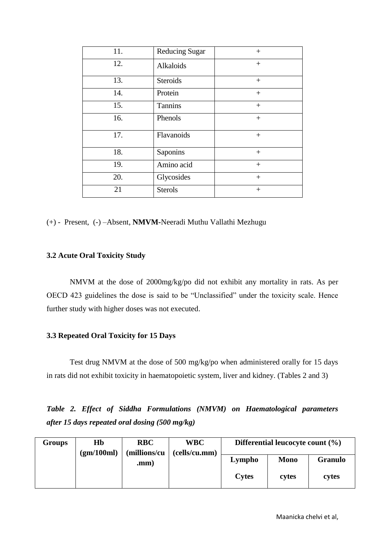|                 | $+$                   |
|-----------------|-----------------------|
| Alkaloids       | $+$                   |
| <b>Steroids</b> | $+$                   |
| Protein         | $+$                   |
| <b>Tannins</b>  | $+$                   |
| Phenols         | $+$                   |
| Flavanoids      | $+$                   |
| Saponins        | $+$                   |
| Amino acid      | $+$                   |
| Glycosides      | $+$                   |
| <b>Sterols</b>  | $+$                   |
|                 | <b>Reducing Sugar</b> |

(+) - Present, (-) –Absent, **NMVM-**Neeradi Muthu Vallathi Mezhugu

# **3.2 Acute Oral Toxicity Study**

NMVM at the dose of 2000mg/kg/po did not exhibit any mortality in rats. As per OECD 423 guidelines the dose is said to be "Unclassified" under the toxicity scale. Hence further study with higher doses was not executed.

## **3.3 Repeated Oral Toxicity for 15 Days**

Test drug NMVM at the dose of 500 mg/kg/po when administered orally for 15 days in rats did not exhibit toxicity in haematopoietic system, liver and kidney. (Tables 2 and 3)

*Table 2. Effect of Siddha Formulations (NMVM) on Haematological parameters after 15 days repeated oral dosing (500 mg/kg)*

| Groups | Hb         | <b>RBC</b>   | <b>WBC</b>    | Differential leucocyte count $(\% )$ |             |                |
|--------|------------|--------------|---------------|--------------------------------------|-------------|----------------|
|        | (gm/100ml) | (millions/cu | (cells/cu.mm) |                                      |             |                |
|        |            | .mm          |               | Lympho                               | <b>Mono</b> | <b>Granulo</b> |
|        |            |              |               | <b>Cytes</b>                         | cytes       | cytes          |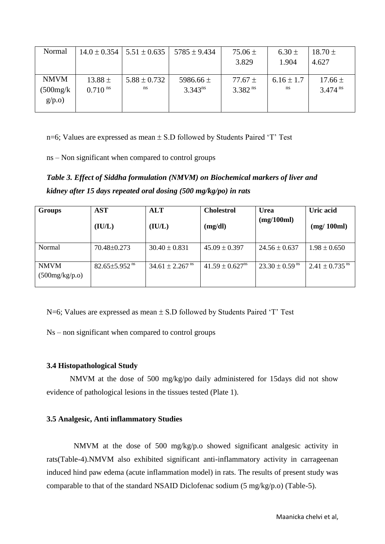| Normal      |                       | $14.0 \pm 0.354$   $5.51 \pm 0.635$ | $5785 \pm 9.434$ | $75.06 \pm$  | $6.30 \pm$     | $18.70 \pm$           |
|-------------|-----------------------|-------------------------------------|------------------|--------------|----------------|-----------------------|
|             |                       |                                     |                  | 3.829        | 1.904          | 4.627                 |
|             |                       |                                     |                  |              |                |                       |
| <b>NMVM</b> | 13.88 $\pm$           | $5.88 \pm 0.732$                    | 5986.66 $\pm$    | 77.67 $\pm$  | $6.16 \pm 1.7$ | $17.66 \pm$           |
| (500mg/k    | $0.710$ <sup>ns</sup> | ns                                  | $3.343^{ns}$     | $3.382^{ns}$ | ns             | $3.474$ <sup>ns</sup> |
| g/p.o)      |                       |                                     |                  |              |                |                       |
|             |                       |                                     |                  |              |                |                       |

n=6; Values are expressed as mean  $\pm$  S.D followed by Students Paired 'T' Test

ns – Non significant when compared to control groups

*Table 3. Effect of Siddha formulation (NMVM) on Biochemical markers of liver and kidney after 15 days repeated oral dosing (500 mg/kg/po) in rats* 

| <b>Groups</b>                 | <b>AST</b><br>(IU/L)            | <b>ALT</b><br>(IU/L)            | <b>Cholestrol</b><br>(mg/dl)    | <b>Urea</b><br>(mg/100ml)      | Uric acid<br>(mg/100ml)        |
|-------------------------------|---------------------------------|---------------------------------|---------------------------------|--------------------------------|--------------------------------|
| Normal                        | 70.48±0.273                     | $30.40 \pm 0.831$               | $45.09 \pm 0.397$               | $24.56 \pm 0.637$              | $1.98 \pm 0.650$               |
| <b>NMVM</b><br>(500mg/kg/p.o) | $82.65 \pm 5.952$ <sup>ns</sup> | $34.61 \pm 2.267$ <sup>ns</sup> | $41.59 \pm 0.627$ <sup>ns</sup> | $23.30 \pm 0.59$ <sup>ns</sup> | $2.41 \pm 0.735$ <sup>ns</sup> |

 $N=6$ ; Values are expressed as mean  $\pm$  S.D followed by Students Paired 'T' Test

Ns – non significant when compared to control groups

# **3.4 Histopathological Study**

NMVM at the dose of 500 mg/kg/po daily administered for 15days did not show evidence of pathological lesions in the tissues tested (Plate 1).

## **3.5 Analgesic, Anti inflammatory Studies**

NMVM at the dose of 500 mg/kg/p.o showed significant analgesic activity in rats(Table-4).NMVM also exhibited significant anti-inflammatory activity in carrageenan induced hind paw edema (acute inflammation model) in rats. The results of present study was comparable to that of the standard NSAID Diclofenac sodium (5 mg/kg/p.o) (Table-5).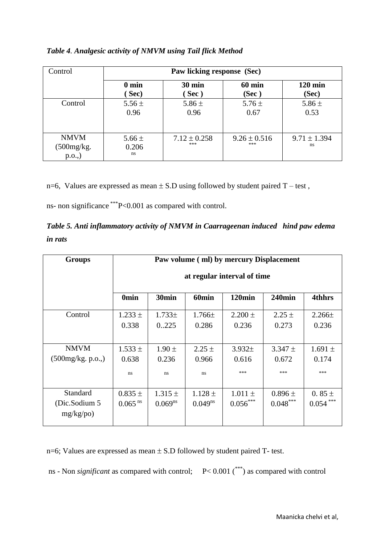# *Table 4. Analgesic activity of NMVM using Tail flick Method*

| Control                          | Paw licking response (Sec) |                         |                         |                         |  |
|----------------------------------|----------------------------|-------------------------|-------------------------|-------------------------|--|
|                                  | $0 \text{ min}$            | $30 \text{ min}$        | <b>60 min</b>           | $120 \text{ min}$       |  |
|                                  | $($ Sec $)$                | Sec)                    | (Sec)                   | (Sec)                   |  |
| Control                          | 5.56 $\pm$                 | 5.86 $\pm$              | $5.76 \pm$              | 5.86 $\pm$              |  |
|                                  | 0.96                       | 0.96                    | 0.67                    | 0.53                    |  |
| <b>NMVM</b><br>(500mg/kg, p.o.,) | 5.66 $\pm$<br>0.206<br>ns  | $7.12 \pm 0.258$<br>*** | $9.26 \pm 0.516$<br>*** | $9.71 \pm 1.394$<br>ns. |  |

n=6, Values are expressed as mean  $\pm$  S.D using followed by student paired T – test,

ns- non significance \*\*\*P<0.001 as compared with control.

| Table 5. Anti inflammatory activity of NMVM in Caarrageenan induced hind paw edema |  |
|------------------------------------------------------------------------------------|--|
| <i>in rats</i>                                                                     |  |

| <b>Groups</b>                          | Paw volume (ml) by mercury Displacement |                             |                             |                             |                             |                             |
|----------------------------------------|-----------------------------------------|-----------------------------|-----------------------------|-----------------------------|-----------------------------|-----------------------------|
|                                        | at regular interval of time             |                             |                             |                             |                             |                             |
|                                        | <b>Omin</b>                             | 30 <sub>min</sub>           | 60 <sub>min</sub>           | $120$ min                   | $240$ min                   | <b>4thhrs</b>               |
| Control                                | $1.233 \pm$<br>0.338                    | $1.733 \pm$<br>0225         | $1.766\pm$<br>0.286         | $2.200 \pm$<br>0.236        | $2.25 \pm$<br>0.273         | $2.266\pm$<br>0.236         |
| <b>NMVM</b><br>(500mg/kg, p.o.,)       | $1.533 \pm$<br>0.638<br>ns              | $1.90 \pm$<br>0.236<br>ns   | $2.25 \pm$<br>0.966<br>ns   | $3.932 \pm$<br>0.616<br>*** | $3.347 \pm$<br>0.672<br>*** | $1.691 \pm$<br>0.174<br>*** |
| Standard<br>(Dic.Sodium 5<br>mg/kg/po) | $0.835 \pm$<br>$0.065$ <sup>ns</sup>    | $1.315 \pm$<br>$0.069^{ns}$ | $1.128 \pm$<br>$0.049^{ns}$ | $1.011 \pm$<br>$0.056***$   | $0.896 \pm$<br>$0.048***$   | 0.85 $\pm$<br>$0.054***$    |

n=6; Values are expressed as mean  $\pm$  S.D followed by student paired T- test.

ns - Non *significant* as compared with control; P< 0.001 (\*\*\*) as compared with control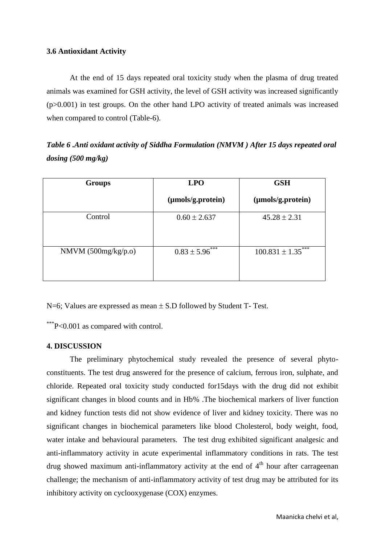## **3.6 Antioxidant Activity**

At the end of 15 days repeated oral toxicity study when the plasma of drug treated animals was examined for GSH activity, the level of GSH activity was increased significantly (p>0.001) in test groups. On the other hand LPO activity of treated animals was increased when compared to control (Table-6).

*Table 6 .Anti oxidant activity of Siddha Formulation (NMVM ) After 15 days repeated oral dosing (500 mg/kg)*

| <b>Groups</b>         | <b>LPO</b>          | <b>GSH</b>             |  |
|-----------------------|---------------------|------------------------|--|
|                       | (µmols/g.protein)   | (µmols/g.protein)      |  |
| Control               | $0.60 \pm 2.637$    | $45.28 \pm 2.31$       |  |
| NMVM $(500mg/kg/p.o)$ | $0.83 \pm 5.96$ *** | $100.831 \pm 1.35$ *** |  |

 $N=6$ ; Values are expressed as mean  $\pm$  S.D followed by Student T- Test.

\*\*\*P<0.001 as compared with control.

# **4. DISCUSSION**

The preliminary phytochemical study revealed the presence of several phytoconstituents. The test drug answered for the presence of calcium, ferrous iron, sulphate, and chloride. Repeated oral toxicity study conducted for15days with the drug did not exhibit significant changes in blood counts and in Hb% .The biochemical markers of liver function and kidney function tests did not show evidence of liver and kidney toxicity. There was no significant changes in biochemical parameters like blood Cholesterol, body weight, food, water intake and behavioural parameters. The test drug exhibited significant analgesic and anti-inflammatory activity in acute experimental inflammatory conditions in rats. The test drug showed maximum anti-inflammatory activity at the end of  $4<sup>th</sup>$  hour after carrageenan challenge; the mechanism of anti-inflammatory activity of test drug may be attributed for its inhibitory activity on cyclooxygenase (COX) enzymes.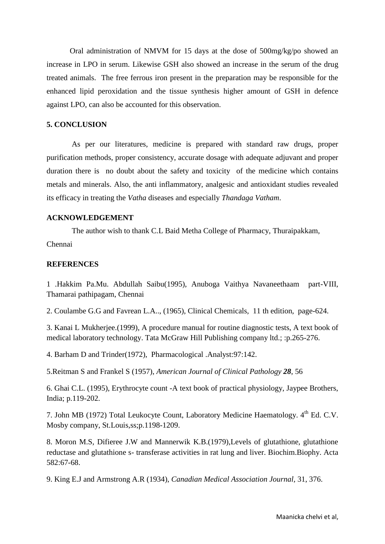Oral administration of NMVM for 15 days at the dose of 500mg/kg/po showed an increase in LPO in serum. Likewise GSH also showed an increase in the serum of the drug treated animals. The free ferrous iron present in the preparation may be responsible for the enhanced lipid peroxidation and the tissue synthesis higher amount of GSH in defence against LPO, can also be accounted for this observation.

#### **5. CONCLUSION**

As per our literatures, medicine is prepared with standard raw drugs, proper purification methods, proper consistency, accurate dosage with adequate adjuvant and proper duration there is no doubt about the safety and toxicity of the medicine which contains metals and minerals. Also, the anti inflammatory, analgesic and antioxidant studies revealed its efficacy in treating the *Vatha* diseases and especially *Thandaga Vatham*.

## **ACKNOWLEDGEMENT**

The author wish to thank C.L Baid Metha College of Pharmacy, Thuraipakkam,

Chennai

## **REFERENCES**

1 .Hakkim Pa.Mu. Abdullah Saibu(1995), Anuboga Vaithya Navaneethaam part-VIII, Thamarai pathipagam, Chennai

2. Coulambe G.G and Favrean L.A.., (1965), Clinical Chemicals, 11 th edition, page-624.

3. Kanai L Mukherjee.(1999), A procedure manual for routine diagnostic tests, A text book of medical laboratory technology. Tata McGraw Hill Publishing company ltd.; :p.265-276.

4. Barham D and Trinder(1972), Pharmacological .Analyst:97:142.

5.Reitman S and Frankel S (1957), *American Journal of Clinical Pathology 28*, 56

6. Ghai C.L. (1995), Erythrocyte count -A text book of practical physiology, Jaypee Brothers, India; p.119-202.

7. John MB (1972) Total Leukocyte Count, Laboratory Medicine Haematology. 4<sup>th</sup> Ed. C.V. Mosby company, St.Louis,ss;p.1198-1209.

8. Moron M.S, Difieree J.W and Mannerwik K.B.(1979),Levels of glutathione, glutathione reductase and glutathione s- transferase activities in rat lung and liver. Biochim.Biophy. Acta 582:67-68.

9. King E.J and Armstrong A.R (1934), *Canadian Medical Association Journal,* 31, 376.